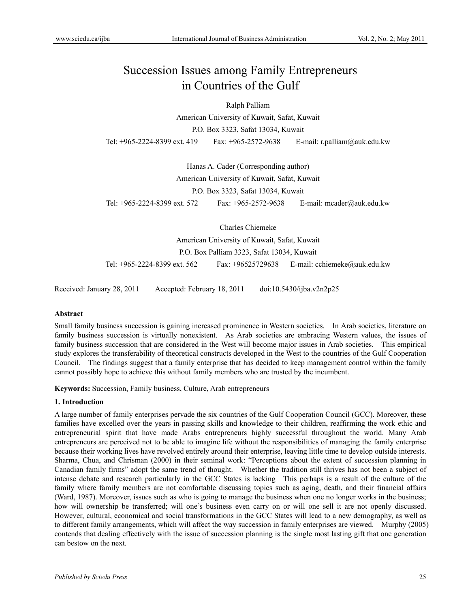# Succession Issues among Family Entrepreneurs in Countries of the Gulf

Ralph Palliam

American University of Kuwait, Safat, Kuwait P.O. Box 3323, Safat 13034, Kuwait Tel: +965-2224-8399 ext. 419 Fax: +965-2572-9638 E-mail: r.palliam@auk.edu.kw

Hanas A. Cader (Corresponding author) American University of Kuwait, Safat, Kuwait P.O. Box 3323, Safat 13034, Kuwait Tel: +965-2224-8399 ext. 572 Fax: +965-2572-9638 E-mail: mcader@auk.edu.kw

Charles Chiemeke

American University of Kuwait, Safat, Kuwait

P.O. Box Palliam 3323, Safat 13034, Kuwait

Tel: +965-2224-8399 ext. 562 Fax: +96525729638 E-mail: cchiemeke@auk.edu.kw

Received: January 28, 2011 Accepted: February 18, 2011 doi:10.5430/ijba.v2n2p25

## **Abstract**

Small family business succession is gaining increased prominence in Western societies. In Arab societies, literature on family business succession is virtually nonexistent. As Arab societies are embracing Western values, the issues of family business succession that are considered in the West will become major issues in Arab societies. This empirical study explores the transferability of theoretical constructs developed in the West to the countries of the Gulf Cooperation Council. The findings suggest that a family enterprise that has decided to keep management control within the family cannot possibly hope to achieve this without family members who are trusted by the incumbent.

**Keywords:** Succession, Family business, Culture, Arab entrepreneurs

## **1. Introduction**

A large number of family enterprises pervade the six countries of the Gulf Cooperation Council (GCC). Moreover, these families have excelled over the years in passing skills and knowledge to their children, reaffirming the work ethic and entrepreneurial spirit that have made Arabs entrepreneurs highly successful throughout the world. Many Arab entrepreneurs are perceived not to be able to imagine life without the responsibilities of managing the family enterprise because their working lives have revolved entirely around their enterprise, leaving little time to develop outside interests. Sharma, Chua, and Chrisman (2000) in their seminal work: "Perceptions about the extent of succession planning in Canadian family firms" adopt the same trend of thought. Whether the tradition still thrives has not been a subject of intense debate and research particularly in the GCC States is lacking This perhaps is a result of the culture of the family where family members are not comfortable discussing topics such as aging, death, and their financial affairs (Ward, 1987). Moreover, issues such as who is going to manage the business when one no longer works in the business; how will ownership be transferred; will one's business even carry on or will one sell it are not openly discussed. However, cultural, economical and social transformations in the GCC States will lead to a new demography, as well as to different family arrangements, which will affect the way succession in family enterprises are viewed. Murphy (2005) contends that dealing effectively with the issue of succession planning is the single most lasting gift that one generation can bestow on the next.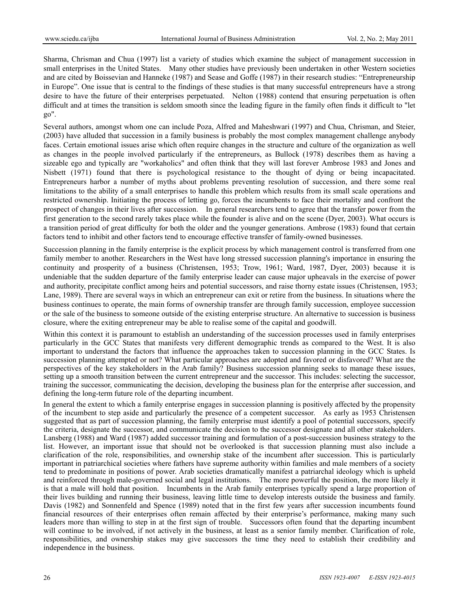Sharma, Chrisman and Chua (1997) list a variety of studies which examine the subject of management succession in small enterprises in the United States. Many other studies have previously been undertaken in other Western societies and are cited by Boissevian and Hanneke (1987) and Sease and Goffe (1987) in their research studies: "Entrepreneurship in Europe". One issue that is central to the findings of these studies is that many successful entrepreneurs have a strong desire to have the future of their enterprises perpetuated. Nelton (1988) contend that ensuring perpetuation is often difficult and at times the transition is seldom smooth since the leading figure in the family often finds it difficult to "let go".

Several authors, amongst whom one can include Poza, Alfred and Maheshwari (1997) and Chua, Chrisman, and Steier, (2003) have alluded that succession in a family business is probably the most complex management challenge anybody faces. Certain emotional issues arise which often require changes in the structure and culture of the organization as well as changes in the people involved particularly if the entrepreneurs, as Bullock (1978) describes them as having a sizeable ego and typically are "workaholics" and often think that they will last forever Ambrose 1983 and Jones and Nisbett (1971) found that there is psychological resistance to the thought of dying or being incapacitated. Entrepreneurs harbor a number of myths about problems preventing resolution of succession, and there some real limitations to the ability of a small enterprises to handle this problem which results from its small scale operations and restricted ownership. Initiating the process of letting go, forces the incumbents to face their mortality and confront the prospect of changes in their lives after succession. In general researchers tend to agree that the transfer power from the first generation to the second rarely takes place while the founder is alive and on the scene (Dyer, 2003). What occurs is a transition period of great difficulty for both the older and the younger generations. Ambrose (1983) found that certain factors tend to inhibit and other factors tend to encourage effective transfer of family-owned businesses.

Succession planning in the family enterprise is the explicit process by which management control is transferred from one family member to another. Researchers in the West have long stressed succession planning's importance in ensuring the continuity and prosperity of a business (Christensen, 1953; Trow, 1961; Ward, 1987, Dyer, 2003) because it is undeniable that the sudden departure of the family enterprise leader can cause major upheavals in the exercise of power and authority, precipitate conflict among heirs and potential successors, and raise thorny estate issues (Christensen, 1953; Lane, 1989). There are several ways in which an entrepreneur can exit or retire from the business. In situations where the business continues to operate, the main forms of ownership transfer are through family succession, employee succession or the sale of the business to someone outside of the existing enterprise structure. An alternative to succession is business closure, where the exiting entrepreneur may be able to realise some of the capital and goodwill.

Within this context it is paramount to establish an understanding of the succession processes used in family enterprises particularly in the GCC States that manifests very different demographic trends as compared to the West. It is also important to understand the factors that influence the approaches taken to succession planning in the GCC States. Is succession planning attempted or not? What particular approaches are adopted and favored or disfavored? What are the perspectives of the key stakeholders in the Arab family? Business succession planning seeks to manage these issues, setting up a smooth transition between the current entrepreneur and the successor. This includes: selecting the successor, training the successor, communicating the decision, developing the business plan for the enterprise after succession, and defining the long-term future role of the departing incumbent.

In general the extent to which a family enterprise engages in succession planning is positively affected by the propensity of the incumbent to step aside and particularly the presence of a competent successor. As early as 1953 Christensen suggested that as part of succession planning, the family enterprise must identify a pool of potential successors, specify the criteria, designate the successor, and communicate the decision to the successor designate and all other stakeholders. Lansberg (1988) and Ward (1987) added successor training and formulation of a post-succession business strategy to the list. However, an important issue that should not be overlooked is that succession planning must also include a clarification of the role, responsibilities, and ownership stake of the incumbent after succession. This is particularly important in patriarchical societies where fathers have supreme authority within families and male members of a society tend to predominate in positions of power. Arab societies dramatically manifest a patriarchal ideology which is upheld and reinforced through male-governed social and legal institutions. The more powerful the position, the more likely it is that a male will hold that position. Incumbents in the Arab family enterprises typically spend a large proportion of their lives building and running their business, leaving little time to develop interests outside the business and family. Davis (1982) and Sonnenfeld and Spence (1989) noted that in the first few years after succession incumbents found financial resources of their enterprises often remain affected by their enterprise's performance, making many such leaders more than willing to step in at the first sign of trouble. Successors often found that the departing incumbent will continue to be involved, if not actively in the business, at least as a senior family member. Clarification of role, responsibilities, and ownership stakes may give successors the time they need to establish their credibility and independence in the business.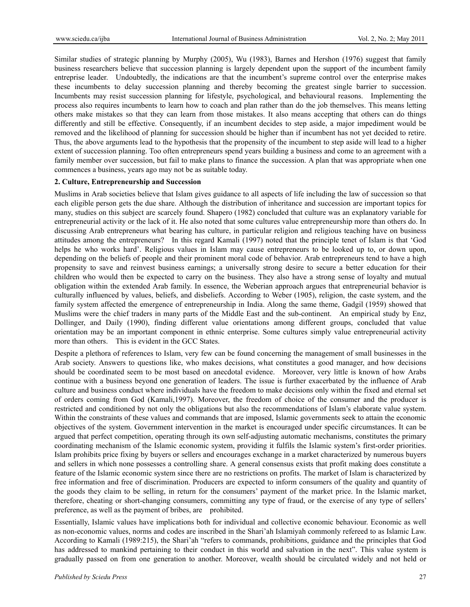Similar studies of strategic planning by Murphy (2005), Wu (1983), Barnes and Hershon (1976) suggest that family business researchers believe that succession planning is largely dependent upon the support of the incumbent family entreprise leader. Undoubtedly, the indications are that the incumbent's supreme control over the enterprise makes these incumbents to delay succession planning and thereby becoming the greatest single barrier to succession. Incumbents may resist succession planning for lifestyle, psychological, and behavioural reasons. Implementing the process also requires incumbents to learn how to coach and plan rather than do the job themselves. This means letting others make mistakes so that they can learn from those mistakes. It also means accepting that others can do things differently and still be effective. Consequently, if an incumbent decides to step aside, a major impediment would be removed and the likelihood of planning for succession should be higher than if incumbent has not yet decided to retire. Thus, the above arguments lead to the hypothesis that the propensity of the incumbent to step aside will lead to a higher extent of succession planning. Too often entrepreneurs spend years building a business and come to an agreement with a family member over succession, but fail to make plans to finance the succession. A plan that was appropriate when one commences a business, years ago may not be as suitable today.

#### **2. Culture, Entrepreneurship and Succession**

Muslims in Arab societies believe that Islam gives guidance to all aspects of life including the law of succession so that each eligible person gets the due share. Although the distribution of inheritance and succession are important topics for many, studies on this subject are scarcely found. Shapero (1982) concluded that culture was an explanatory variable for entrepreneurial activity or the lack of it. He also noted that some cultures value entrepreneurship more than others do. In discussing Arab entrepreneurs what bearing has culture, in particular religion and religious teaching have on business attitudes among the entrepreneurs? In this regard Kamali (1997) noted that the principle tenet of Islam is that 'God helps he who works hard'. Religious values in Islam may cause entrepreneurs to be looked up to, or down upon, depending on the beliefs of people and their prominent moral code of behavior. Arab entrepreneurs tend to have a high propensity to save and reinvest business earnings; a universally strong desire to secure a better education for their children who would then be expected to carry on the business. They also have a strong sense of loyalty and mutual obligation within the extended Arab family. In essence, the Weberian approach argues that entrepreneurial behavior is culturally influenced by values, beliefs, and disbeliefs. According to Weber (1905), religion, the caste system, and the family system affected the emergence of entrepreneurship in India. Along the same theme, Gadgil (1959) showed that Muslims were the chief traders in many parts of the Middle East and the sub-continent. An empirical study by Enz, Dollinger, and Daily (1990), finding different value orientations among different groups, concluded that value orientation may be an important component in ethnic enterprise. Some cultures simply value entrepreneurial activity more than others. This is evident in the GCC States.

Despite a plethora of references to Islam, very few can be found concerning the management of small businesses in the Arab society. Answers to questions like, who makes decisions, what constitutes a good manager, and how decisions should be coordinated seem to be most based on anecdotal evidence. Moreover, very little is known of how Arabs continue with a business beyond one generation of leaders. The issue is further exacerbated by the influence of Arab culture and business conduct where individuals have the freedom to make decisions only within the fixed and eternal set of orders coming from God (Kamali,1997). Moreover, the freedom of choice of the consumer and the producer is restricted and conditioned by not only the obligations but also the recommendations of Islam's elaborate value system. Within the constraints of these values and commands that are imposed, Islamic governments seek to attain the economic objectives of the system. Government intervention in the market is encouraged under specific circumstances. It can be argued that perfect competition, operating through its own self-adjusting automatic mechanisms, constitutes the primary coordinating mechanism of the Islamic economic system, providing it fulfils the Islamic system's first-order priorities. Islam prohibits price fixing by buyers or sellers and encourages exchange in a market characterized by numerous buyers and sellers in which none possesses a controlling share. A general consensus exists that profit making does constitute a feature of the Islamic economic system since there are no restrictions on profits. The market of Islam is characterized by free information and free of discrimination. Producers are expected to inform consumers of the quality and quantity of the goods they claim to be selling, in return for the consumers' payment of the market price. In the Islamic market, therefore, cheating or short-changing consumers, committing any type of fraud, or the exercise of any type of sellers' preference, as well as the payment of bribes, are prohibited.

Essentially, Islamic values have implications both for individual and collective economic behaviour. Economic as well as non-economic values, norms and codes are inscribed in the Shari'ah Islamiyah commonly refereed to as Islamic Law. According to Kamali (1989:215), the Shari'ah "refers to commands, prohibitions, guidance and the principles that God has addressed to mankind pertaining to their conduct in this world and salvation in the next". This value system is gradually passed on from one generation to another. Moreover, wealth should be circulated widely and not held or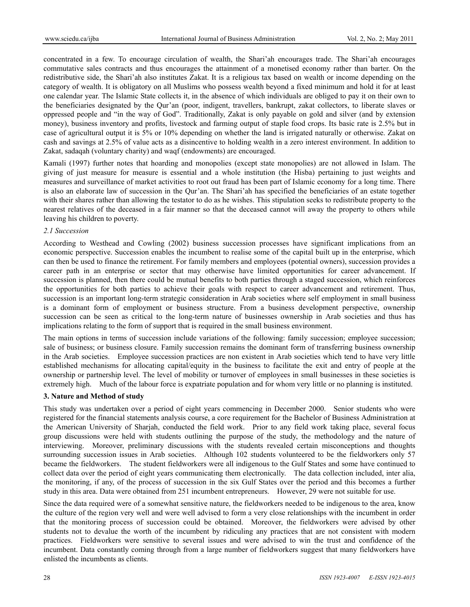concentrated in a few. To encourage circulation of wealth, the Shari'ah encourages trade. The Shari'ah encourages commutative sales contracts and thus encourages the attainment of a monetised economy rather than barter. On the redistributive side, the Shari'ah also institutes Zakat. It is a religious tax based on wealth or income depending on the category of wealth. It is obligatory on all Muslims who possess wealth beyond a fixed minimum and hold it for at least one calendar year. The Islamic State collects it, in the absence of which individuals are obliged to pay it on their own to the beneficiaries designated by the Qur'an (poor, indigent, travellers, bankrupt, zakat collectors, to liberate slaves or oppressed people and "in the way of God". Traditionally, Zakat is only payable on gold and silver (and by extension money), business inventory and profits, livestock and farming output of staple food crops. Its basic rate is 2.5% but in case of agricultural output it is 5% or 10% depending on whether the land is irrigated naturally or otherwise. Zakat on cash and savings at 2.5% of value acts as a disincentive to holding wealth in a zero interest environment. In addition to Zakat, sadaqah (voluntary charity) and waqf (endowments) are encouraged.

Kamali (1997) further notes that hoarding and monopolies (except state monopolies) are not allowed in Islam. The giving of just measure for measure is essential and a whole institution (the Hisba) pertaining to just weights and measures and surveillance of market activities to root out fraud has been part of Islamic economy for a long time. There is also an elaborate law of succession in the Qur'an. The Shari'ah has specified the beneficiaries of an estate together with their shares rather than allowing the testator to do as he wishes. This stipulation seeks to redistribute property to the nearest relatives of the deceased in a fair manner so that the deceased cannot will away the property to others while leaving his children to poverty.

## *2.1 Succession*

According to Westhead and Cowling (2002) business succession processes have significant implications from an economic perspective. Succession enables the incumbent to realise some of the capital built up in the enterprise, which can then be used to finance the retirement. For family members and employees (potential owners), succession provides a career path in an enterprise or sector that may otherwise have limited opportunities for career advancement. If succession is planned, then there could be mutual benefits to both parties through a staged succession, which reinforces the opportunities for both parties to achieve their goals with respect to career advancement and retirement. Thus, succession is an important long-term strategic consideration in Arab societies where self employment in small business is a dominant form of employment or business structure. From a business development perspective, ownership succession can be seen as critical to the long-term nature of businesses ownership in Arab societies and thus has implications relating to the form of support that is required in the small business environment.

The main options in terms of succession include variations of the following: family succession; employee succession; sale of business; or business closure. Family succession remains the dominant form of transferring business ownership in the Arab societies. Employee succession practices are non existent in Arab societies which tend to have very little established mechanisms for allocating capital/equity in the business to facilitate the exit and entry of people at the ownership or partnership level. The level of mobility or turnover of employees in small businesses in these societies is extremely high. Much of the labour force is expatriate population and for whom very little or no planning is instituted.

# **3. Nature and Method of study**

This study was undertaken over a period of eight years commencing in December 2000. Senior students who were registered for the financial statements analysis course, a core requirement for the Bachelor of Business Administration at the American University of Sharjah, conducted the field work. Prior to any field work taking place, several focus group discussions were held with students outlining the purpose of the study, the methodology and the nature of interviewing. Moreover, preliminary discussions with the students revealed certain misconceptions and thoughts surrounding succession issues in Arab societies. Although 102 students volunteered to be the fieldworkers only 57 became the fieldworkers. The student fieldworkers were all indigenous to the Gulf States and some have continued to collect data over the period of eight years communicating them electronically. The data collection included, inter alia, the monitoring, if any, of the process of succession in the six Gulf States over the period and this becomes a further study in this area. Data were obtained from 251 incumbent entrepreneurs. However, 29 were not suitable for use.

Since the data required were of a somewhat sensitive nature, the fieldworkers needed to be indigenous to the area, know the culture of the region very well and were well advised to form a very close relationships with the incumbent in order that the monitoring process of succession could be obtained. Moreover, the fieldworkers were advised by other students not to devalue the worth of the incumbent by ridiculing any practices that are not consistent with modern practices. Fieldworkers were sensitive to several issues and were advised to win the trust and confidence of the incumbent. Data constantly coming through from a large number of fieldworkers suggest that many fieldworkers have enlisted the incumbents as clients.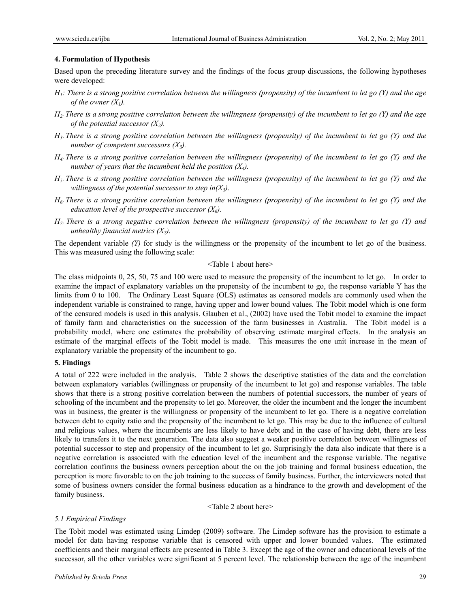## **4. Formulation of Hypothesis**

Based upon the preceding literature survey and the findings of the focus group discussions, the following hypotheses were developed:

- *H1: There is a strong positive correlation between the willingness (propensity) of the incumbent to let go (Y) and the age of the owner*  $(X<sub>1</sub>)$ *.*
- *H2: There is a strong positive correlation between the willingness (propensity) of the incumbent to let go (Y) and the age of the potential successor*  $(X_2)$ *.*
- *H3: There is a strong positive correlation between the willingness (propensity) of the incumbent to let go (Y) and the number of competent successors (X3).*
- *H4: There is a strong positive correlation between the willingness (propensity) of the incumbent to let go (Y) and the number of years that the incumbent held the position*  $(X_4)$ *.*
- *H5: There is a strong positive correlation between the willingness (propensity) of the incumbent to let go (Y) and the willingness of the potential successor to step in(* $X_5$ *).*
- *H6: There is a strong positive correlation between the willingness (propensity) of the incumbent to let go (Y) and the education level of the prospective successor*  $(X_6)$ *.*
- *H7: There is a strong negative correlation between the willingness (propensity) of the incumbent to let go (Y) and unhealthy financial metrics*  $(X_7)$ *.*

The dependent variable *(Y)* for study is the willingness or the propensity of the incumbent to let go of the business. This was measured using the following scale:

#### <Table 1 about here>

The class midpoints 0, 25, 50, 75 and 100 were used to measure the propensity of the incumbent to let go. In order to examine the impact of explanatory variables on the propensity of the incumbent to go, the response variable Y has the limits from 0 to 100. The Ordinary Least Square (OLS) estimates as censored models are commonly used when the independent variable is constrained to range, having upper and lower bound values. The Tobit model which is one form of the censured models is used in this analysis. Glauben et al., (2002) have used the Tobit model to examine the impact of family farm and characteristics on the succession of the farm businesses in Australia. The Tobit model is a probability model, where one estimates the probability of observing estimate marginal effects. In the analysis an estimate of the marginal effects of the Tobit model is made. This measures the one unit increase in the mean of explanatory variable the propensity of the incumbent to go.

# **5. Findings**

A total of 222 were included in the analysis. Table 2 shows the descriptive statistics of the data and the correlation between explanatory variables (willingness or propensity of the incumbent to let go) and response variables. The table shows that there is a strong positive correlation between the numbers of potential successors, the number of years of schooling of the incumbent and the propensity to let go. Moreover, the older the incumbent and the longer the incumbent was in business, the greater is the willingness or propensity of the incumbent to let go. There is a negative correlation between debt to equity ratio and the propensity of the incumbent to let go. This may be due to the influence of cultural and religious values, where the incumbents are less likely to have debt and in the case of having debt, there are less likely to transfers it to the next generation. The data also suggest a weaker positive correlation between willingness of potential successor to step and propensity of the incumbent to let go. Surprisingly the data also indicate that there is a negative correlation is associated with the education level of the incumbent and the response variable. The negative correlation confirms the business owners perception about the on the job training and formal business education, the perception is more favorable to on the job training to the success of family business. Further, the interviewers noted that some of business owners consider the formal business education as a hindrance to the growth and development of the family business.

<Table 2 about here>

# *5.1 Empirical Findings*

The Tobit model was estimated using Limdep (2009) software. The Limdep software has the provision to estimate a model for data having response variable that is censored with upper and lower bounded values. The estimated coefficients and their marginal effects are presented in Table 3. Except the age of the owner and educational levels of the successor, all the other variables were significant at 5 percent level. The relationship between the age of the incumbent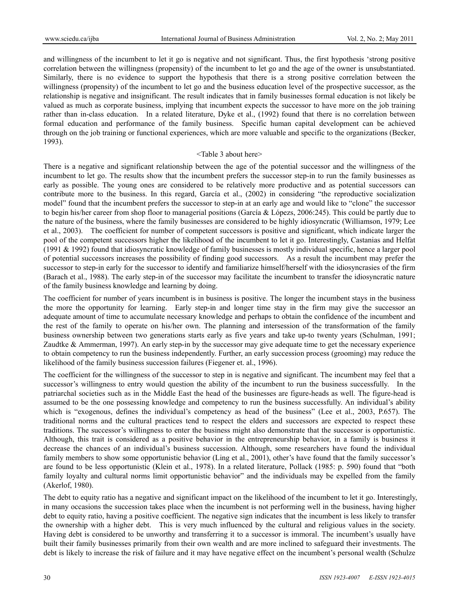and willingness of the incumbent to let it go is negative and not significant. Thus, the first hypothesis 'strong positive correlation between the willingness (propensity) of the incumbent to let go and the age of the owner is unsubstantiated. Similarly, there is no evidence to support the hypothesis that there is a strong positive correlation between the willingness (propensity) of the incumbent to let go and the business education level of the prospective successor, as the relationship is negative and insignificant. The result indicates that in family businesses formal education is not likely be valued as much as corporate business, implying that incumbent expects the successor to have more on the job training rather than in-class education. In a related literature, Dyke et al., (1992) found that there is no correlation between formal education and performance of the family business. Specific human capital development can be achieved through on the job training or functional experiences, which are more valuable and specific to the organizations (Becker, 1993).

#### <Table 3 about here>

There is a negative and significant relationship between the age of the potential successor and the willingness of the incumbent to let go. The results show that the incumbent prefers the successor step-in to run the family businesses as early as possible. The young ones are considered to be relatively more productive and as potential successors can contribute more to the business. In this regard, García et al., (2002) in considering "the reproductive socialization model" found that the incumbent prefers the successor to step-in at an early age and would like to "clone" the successor to begin his/her career from shop floor to managerial positions (García & Lópezs, 2006:245). This could be partly due to the nature of the business, where the family businesses are considered to be highly idiosyncratic (Williamson, 1979; Lee et al., 2003). The coefficient for number of competent successors is positive and significant, which indicate larger the pool of the competent successors higher the likelihood of the incumbent to let it go. Interestingly, Castanias and Helfat (1991 & 1992) found that idiosyncratic knowledge of family businesses is mostly individual specific, hence a larger pool of potential successors increases the possibility of finding good successors. As a result the incumbent may prefer the successor to step-in early for the successor to identify and familiarize himself/herself with the idiosyncrasies of the firm (Barach et al., 1988). The early step-in of the successor may facilitate the incumbent to transfer the idiosyncratic nature of the family business knowledge and learning by doing.

The coefficient for number of years incumbent is in business is positive. The longer the incumbent stays in the business the more the opportunity for learning. Early step-in and longer time stay in the firm may give the successor an adequate amount of time to accumulate necessary knowledge and perhaps to obtain the confidence of the incumbent and the rest of the family to operate on his/her own. The planning and intersession of the transformation of the family business ownership between two generations starts early as five years and take up-to twenty years (Schulman, 1991; Zaudtke & Ammerman, 1997). An early step-in by the successor may give adequate time to get the necessary experience to obtain competency to run the business independently. Further, an early succession process (grooming) may reduce the likelihood of the family business succession failures (Fiegener et. al., 1996).

The coefficient for the willingness of the successor to step in is negative and significant. The incumbent may feel that a successor's willingness to entry would question the ability of the incumbent to run the business successfully. In the patriarchal societies such as in the Middle East the head of the businesses are figure-heads as well. The figure-head is assumed to be the one possessing knowledge and competency to run the business successfully. An individual's ability which is "exogenous, defines the individual's competency as head of the business" (Lee et al., 2003, P.657). The traditional norms and the cultural practices tend to respect the elders and successors are expected to respect these traditions. The successor's willingness to enter the business might also demonstrate that the successor is opportunistic. Although, this trait is considered as a positive behavior in the entrepreneurship behavior, in a family is business it decrease the chances of an individual's business succession. Although, some researchers have found the individual family members to show some opportunistic behavior (Ling et al., 2001), other's have found that the family successor's are found to be less opportunistic (Klein et al., 1978). In a related literature, Pollack (1985: p. 590) found that "both family loyalty and cultural norms limit opportunistic behavior" and the individuals may be expelled from the family (Akerlof, 1980).

The debt to equity ratio has a negative and significant impact on the likelihood of the incumbent to let it go. Interestingly, in many occasions the succession takes place when the incumbent is not performing well in the business, having higher debt to equity ratio, having a positive coefficient. The negative sign indicates that the incumbent is less likely to transfer the ownership with a higher debt. This is very much influenced by the cultural and religious values in the society. Having debt is considered to be unworthy and transferring it to a successor is immoral. The incumbent's usually have built their family businesses primarily from their own wealth and are more inclined to safeguard their investments. The debt is likely to increase the risk of failure and it may have negative effect on the incumbent's personal wealth (Schulze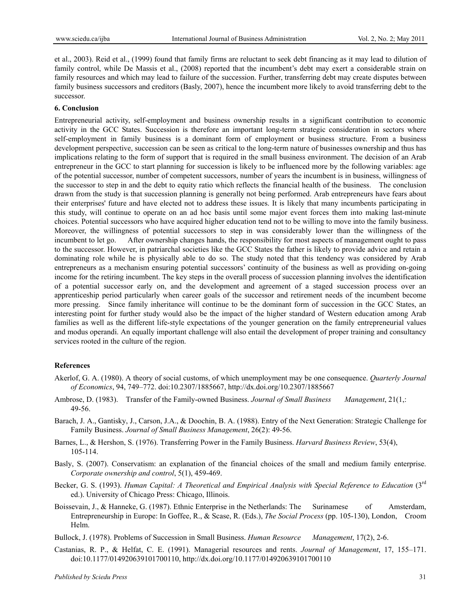et al., 2003). Reid et al., (1999) found that family firms are reluctant to seek debt financing as it may lead to dilution of family control, while De Massis et al., (2008) reported that the incumbent's debt may exert a considerable strain on family resources and which may lead to failure of the succession. Further, transferring debt may create disputes between family business successors and creditors (Basly, 2007), hence the incumbent more likely to avoid transferring debt to the successor.

#### **6. Conclusion**

Entrepreneurial activity, self-employment and business ownership results in a significant contribution to economic activity in the GCC States. Succession is therefore an important long-term strategic consideration in sectors where self-employment in family business is a dominant form of employment or business structure. From a business development perspective, succession can be seen as critical to the long-term nature of businesses ownership and thus has implications relating to the form of support that is required in the small business environment. The decision of an Arab entrepreneur in the GCC to start planning for succession is likely to be influenced more by the following variables: age of the potential successor, number of competent successors, number of years the incumbent is in business, willingness of the successor to step in and the debt to equity ratio which reflects the financial health of the business. The conclusion drawn from the study is that succession planning is generally not being performed. Arab entrepreneurs have fears about their enterprises' future and have elected not to address these issues. It is likely that many incumbents participating in this study, will continue to operate on an ad hoc basis until some major event forces them into making last-minute choices. Potential successors who have acquired higher education tend not to be willing to move into the family business. Moreover, the willingness of potential successors to step in was considerably lower than the willingness of the incumbent to let go. After ownership changes hands, the responsibility for most aspects of management ought to pass to the successor. However, in patriarchal societies like the GCC States the father is likely to provide advice and retain a dominating role while he is physically able to do so. The study noted that this tendency was considered by Arab entrepreneurs as a mechanism ensuring potential successors' continuity of the business as well as providing on-going income for the retiring incumbent. The key steps in the overall process of succession planning involves the identification of a potential successor early on, and the development and agreement of a staged succession process over an apprenticeship period particularly when career goals of the successor and retirement needs of the incumbent become more pressing. Since family inheritance will continue to be the dominant form of succession in the GCC States, an interesting point for further study would also be the impact of the higher standard of Western education among Arab families as well as the different life-style expectations of the younger generation on the family entrepreneurial values and modus operandi. An equally important challenge will also entail the development of proper training and consultancy services rooted in the culture of the region.

#### **References**

- Akerlof, G. A. (1980). A theory of social customs, of which unemployment may be one consequence. *Quarterly Journal of Economics*, 94, 749–772. doi:10.2307/1885667, http://dx.doi.org/10.2307/1885667
- Ambrose, D. (1983). Transfer of the Family-owned Business. *Journal of Small Business Management*, 21(1,: 49-56.
- Barach, J. A., Gantisky, J., Carson, J.A., & Doochin, B. A. (1988). Entry of the Next Generation: Strategic Challenge for Family Business. *Journal of Small Business Management*, 26(2): 49-56.
- Barnes, L., & Hershon, S. (1976). Transferring Power in the Family Business. *Harvard Business Review*, 53(4), 105-114.
- Basly, S. (2007). Conservatism: an explanation of the financial choices of the small and medium family enterprise. *Corporate ownership and control*, 5(1), 459-469.
- Becker, G. S. (1993). *Human Capital: A Theoretical and Empirical Analysis with Special Reference to Education* (3<sup>rd</sup> ed.). University of Chicago Press: Chicago, Illinois.
- Boissevain, J., & Hanneke, G. (1987). Ethnic Enterprise in the Netherlands: The Surinamese of Amsterdam, Entrepreneurship in Europe: In Goffee, R., & Scase, R. (Eds.), *The Social Process* (pp. 105-130), London, Croom Helm.
- Bullock, J. (1978). Problems of Succession in Small Business. *Human Resource Management*, 17(2), 2-6.
- Castanias, R. P., & Helfat, C. E. (1991). Managerial resources and rents. *Journal of Management*, 17, 155–171. doi:10.1177/014920639101700110, http://dx.doi.org/10.1177/014920639101700110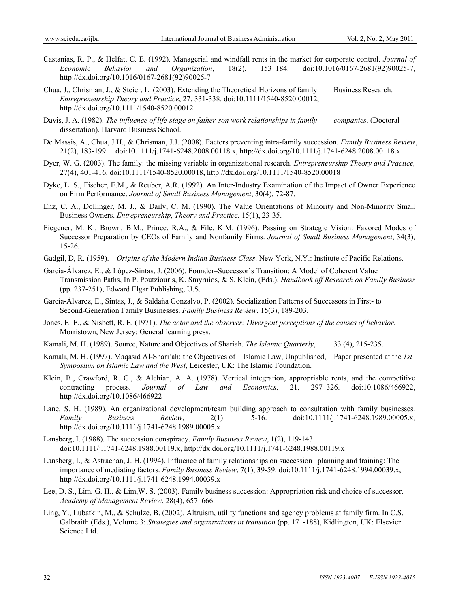- Castanias, R. P., & Helfat, C. E. (1992). Managerial and windfall rents in the market for corporate control. *Journal of Economic Behavior and Organization*, 18(2), 153–184. doi:10.1016/0167-2681(92)90025-7, http://dx.doi.org/10.1016/0167-2681(92)90025-7
- Chua, J., Chrisman, J., & Steier, L. (2003). Extending the Theoretical Horizons of family Business Research. *Entrepreneurship Theory and Practice*, 27, 331-338. doi:10.1111/1540-8520.00012, http://dx.doi.org/10.1111/1540-8520.00012
- Davis, J. A. (1982). *The influence of life-stage on father-son work relationships in family companies*. (Doctoral dissertation). Harvard Business School.
- De Massis, A., Chua, J.H., & Chrisman, J.J. (2008). Factors preventing intra-family succession. *Family Business Review*, 21(2), 183-199. doi:10.1111/j.1741-6248.2008.00118.x, http://dx.doi.org/10.1111/j.1741-6248.2008.00118.x
- Dyer, W. G. (2003). The family: the missing variable in organizational research. *Entrepreneurship Theory and Practice,*  27(4), 401-416. doi:10.1111/1540-8520.00018, http://dx.doi.org/10.1111/1540-8520.00018
- Dyke, L. S., Fischer, E.M., & Reuber, A.R. (1992). An Inter-Industry Examination of the Impact of Owner Experience on Firm Performance. *Journal of Small Business Management*, 30(4), 72-87.
- Enz, C. A., Dollinger, M. J., & Daily, C. M. (1990). The Value Orientations of Minority and Non-Minority Small Business Owners. *Entrepreneurship, Theory and Practice*, 15(1), 23-35.
- Fiegener, M. K., Brown, B.M., Prince, R.A., & File, K.M. (1996). Passing on Strategic Vision: Favored Modes of Successor Preparation by CEOs of Family and Nonfamily Firms. *Journal of Small Business Management*, 34(3), 15-26.
- Gadgil, D, R. (1959). *Origins of the Modern Indian Business Class*. New York, N.Y.: Institute of Pacific Relations.
- García-Álvarez, E., & López-Sintas, J. (2006). Founder–Successor's Transition: A Model of Coherent Value Transmission Paths, In P. Poutziouris, K. Smyrnios, & S. Klein, (Eds.). *Handbook off Research on Family Business* (pp. 237-251), Edward Elgar Publishing, U.S.
- García-Álvarez, E., Sintas, J., & Saldaña Gonzalvo, P. (2002). Socialization Patterns of Successors in First- to Second-Generation Family Businesses. *Family Business Review*, 15(3), 189-203.
- Jones, E. E., & Nisbett, R. E. (1971). *The actor and the observer: Divergent perceptions of the causes of behavior.*  Morristown, New Jersey: General learning press.
- Kamali, M. H. (1989). Source, Nature and Objectives of Shariah. *The Islamic Quarterly*, 33 (4), 215-235.
- Kamali, M. H. (1997). Maqasid Al-Shari'ah: the Objectives of Islamic Law, Unpublished, Paper presented at the *1st Symposium on Islamic Law and the West*, Leicester, UK: The Islamic Foundation.
- Klein, B., Crawford, R. G., & Alchian, A. A. (1978). Vertical integration, appropriable rents, and the competitive contracting process. *Journal of Law and Economics*, 21, 297–326. doi:10.1086/466922, http://dx.doi.org/10.1086/466922
- Lane, S. H. (1989). An organizational development/team building approach to consultation with family businesses. *Family Business Review*, 2(1): 5-16. doi:10.1111/j.1741-6248.1989.00005.x, http://dx.doi.org/10.1111/j.1741-6248.1989.00005.x
- Lansberg, I. (1988). The succession conspiracy. *Family Business Review*, 1(2), 119-143. doi:10.1111/j.1741-6248.1988.00119.x, http://dx.doi.org/10.1111/j.1741-6248.1988.00119.x
- Lansberg, I., & Astrachan, J. H. (1994). Influence of family relationships on succession planning and training: The importance of mediating factors. *Family Business Review*, 7(1), 39-59. doi:10.1111/j.1741-6248.1994.00039.x, http://dx.doi.org/10.1111/j.1741-6248.1994.00039.x
- Lee, D. S., Lim, G. H., & Lim,W. S. (2003). Family business succession: Appropriation risk and choice of successor. *Academy of Management Review*, 28(4), 657–666.
- Ling, Y., Lubatkin, M., & Schulze, B. (2002). Altruism, utility functions and agency problems at family firm. In C.S. Galbraith (Eds.), Volume 3: *Strategies and organizations in transition* (pp. 171-188), Kidlington, UK: Elsevier Science Ltd.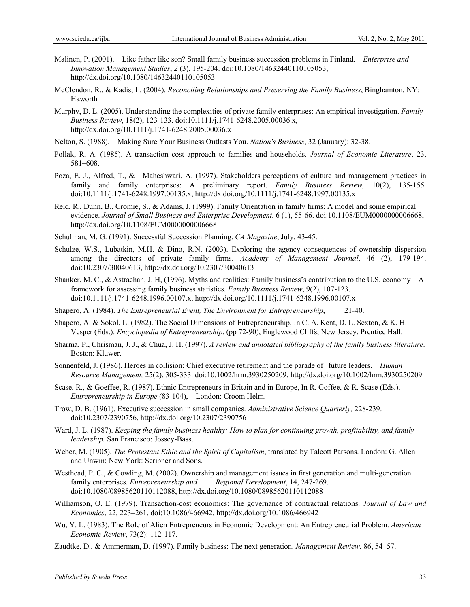- Malinen, P. (2001). Like father like son? Small family business succession problems in Finland. *Enterprise and Innovation Management Studies*, *2* (3), 195-204. doi:10.1080/14632440110105053, http://dx.doi.org/10.1080/14632440110105053
- McClendon, R., & Kadis, L. (2004). *Reconciling Relationships and Preserving the Family Business*, Binghamton, NY: Haworth
- Murphy, D. L. (2005). Understanding the complexities of private family enterprises: An empirical investigation. *Family Business Review*, 18(2), 123-133. doi:10.1111/j.1741-6248.2005.00036.x, http://dx.doi.org/10.1111/j.1741-6248.2005.00036.x
- Nelton, S. (1988). Making Sure Your Business Outlasts You. *Nation's Business*, 32 (January): 32-38.
- Pollak, R. A. (1985). A transaction cost approach to families and households. *Journal of Economic Literature*, 23, 581–608.
- Poza, E. J., Alfred, T., & Maheshwari, A. (1997). Stakeholders perceptions of culture and management practices in family and family enterprises: A preliminary report. *Family Business Review,* 10(2), 135-155. doi:10.1111/j.1741-6248.1997.00135.x, http://dx.doi.org/10.1111/j.1741-6248.1997.00135.x
- Reid, R., Dunn, B., Cromie, S., & Adams, J. (1999). Family Orientation in family firms: A model and some empirical evidence. *Journal of Small Business and Enterprise Development*, 6 (1), 55-66. doi:10.1108/EUM0000000006668, http://dx.doi.org/10.1108/EUM0000000006668
- Schulman, M. G. (1991). Successful Succession Planning. *CA Magazine*, July, 43-45.
- Schulze, W.S., Lubatkin, M.H. & Dino, R.N. (2003). Exploring the agency consequences of ownership dispersion among the directors of private family firms. *Academy of Management Journal*, 46 (2), 179-194. doi:10.2307/30040613, http://dx.doi.org/10.2307/30040613
- Shanker, M. C., & Astrachan, J. H, (1996). Myths and realities: Family business's contribution to the U.S. economy A framework for assessing family business statistics. *Family Business Review*, 9(2), 107-123. doi:10.1111/j.1741-6248.1996.00107.x, http://dx.doi.org/10.1111/j.1741-6248.1996.00107.x
- Shapero, A. (1984). *The Entrepreneurial Event, The Environment for Entrepreneurship*, 21-40.
- Shapero, A. & Sokol, L. (1982). The Social Dimensions of Entrepreneurship, In C. A. Kent, D. L. Sexton, & K. H. Vesper (Eds.). *Encyclopedia of Entrepreneurship*, (pp 72-90), Englewood Cliffs, New Jersey, Prentice Hall.
- Sharma, P., Chrisman, J. J., & Chua, J. H. (1997). *A review and annotated bibliography of the family business literature*. Boston: Kluwer.
- Sonnenfeld, J. (1986). Heroes in collision: Chief executive retirement and the parade of future leaders. *Human Resource Management,* 25(2), 305-333. doi:10.1002/hrm.3930250209, http://dx.doi.org/10.1002/hrm.3930250209
- Scase, R., & Goeffee, R. (1987). Ethnic Entrepreneurs in Britain and in Europe, In R. Goffee, & R. Scase (Eds.). *Entrepreneurship in Europe* (83-104), London: Croom Helm.
- Trow, D. B. (1961). Executive succession in small companies. *Administrative Science Quarterly,* 228-239. doi:10.2307/2390756, http://dx.doi.org/10.2307/2390756
- Ward, J. L. (1987). *Keeping the family business healthy: How to plan for continuing growth, profitability, and family leadership.* San Francisco: Jossey-Bass.
- Weber, M. (1905). *The Protestant Ethic and the Spirit of Capitalism*, translated by Talcott Parsons. London: G. Allen and Unwin; New York: Scribner and Sons.
- Westhead, P. C., & Cowling, M. (2002). Ownership and management issues in first generation and multi-generation family enterprises. *Entrepreneurship and Regional Development*, 14, 247-269. doi:10.1080/08985620110112088, http://dx.doi.org/10.1080/08985620110112088
- Williamson, O. E. (1979). Transaction-cost economics: The governance of contractual relations. *Journal of Law and Economics*, 22, 223–261. doi:10.1086/466942, http://dx.doi.org/10.1086/466942
- Wu, Y. L. (1983). The Role of Alien Entrepreneurs in Economic Development: An Entrepreneurial Problem. *American Economic Review*, 73(2): 112-117.
- Zaudtke, D., & Ammerman, D. (1997). Family business: The next generation. *Management Review*, 86, 54–57.